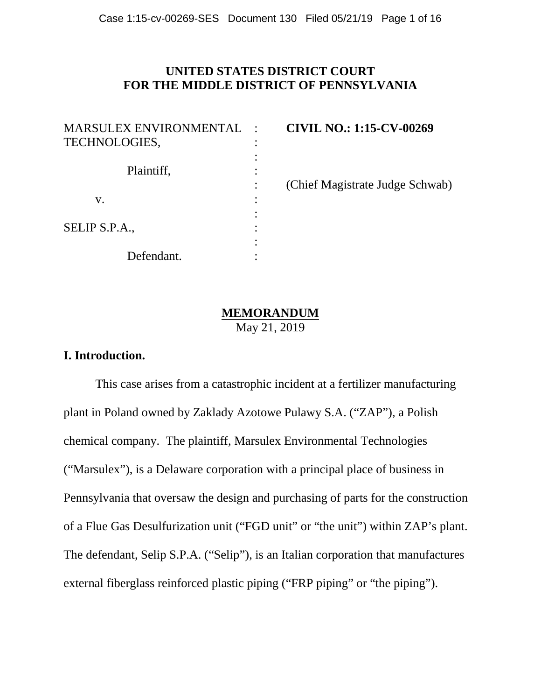# **UNITED STATES DISTRICT COURT FOR THE MIDDLE DISTRICT OF PENNSYLVANIA**

| <b>MARSULEX ENVIRONMENTAL</b> |  |
|-------------------------------|--|
| <b>TECHNOLOGIES,</b>          |  |
|                               |  |
| Plaintiff,                    |  |
|                               |  |
| $V_{\rm A}$                   |  |
|                               |  |
| SELIP S.P.A.,                 |  |
|                               |  |
| Defendant.                    |  |

MARSULEX ENVIRONMENTAL : **CIVIL NO.: 1:15-CV-00269**

: (Chief Magistrate Judge Schwab)

# **MEMORANDUM**

May 21, 2019

# **I. Introduction.**

This case arises from a catastrophic incident at a fertilizer manufacturing plant in Poland owned by Zaklady Azotowe Pulawy S.A. ("ZAP"), a Polish chemical company. The plaintiff, Marsulex Environmental Technologies ("Marsulex"), is a Delaware corporation with a principal place of business in Pennsylvania that oversaw the design and purchasing of parts for the construction of a Flue Gas Desulfurization unit ("FGD unit" or "the unit") within ZAP's plant. The defendant, Selip S.P.A. ("Selip"), is an Italian corporation that manufactures external fiberglass reinforced plastic piping ("FRP piping" or "the piping").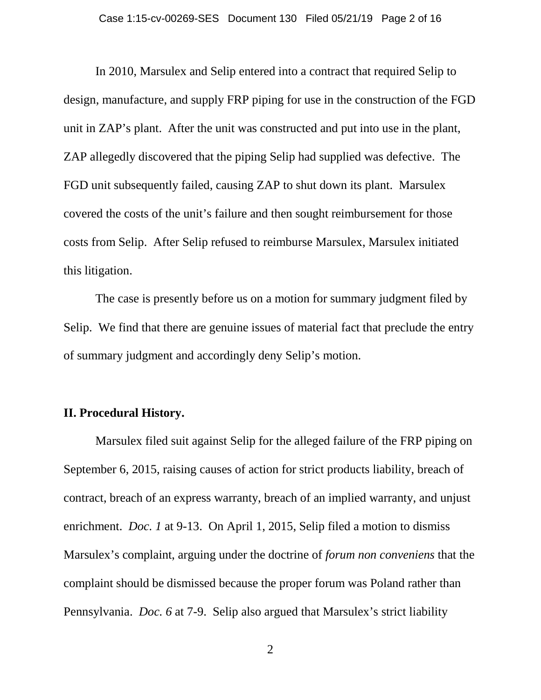In 2010, Marsulex and Selip entered into a contract that required Selip to design, manufacture, and supply FRP piping for use in the construction of the FGD unit in ZAP's plant. After the unit was constructed and put into use in the plant, ZAP allegedly discovered that the piping Selip had supplied was defective. The FGD unit subsequently failed, causing ZAP to shut down its plant. Marsulex covered the costs of the unit's failure and then sought reimbursement for those costs from Selip. After Selip refused to reimburse Marsulex, Marsulex initiated this litigation.

The case is presently before us on a motion for summary judgment filed by Selip. We find that there are genuine issues of material fact that preclude the entry of summary judgment and accordingly deny Selip's motion.

# **II. Procedural History.**

Marsulex filed suit against Selip for the alleged failure of the FRP piping on September 6, 2015, raising causes of action for strict products liability, breach of contract, breach of an express warranty, breach of an implied warranty, and unjust enrichment. *Doc. 1* at 9-13. On April 1, 2015, Selip filed a motion to dismiss Marsulex's complaint, arguing under the doctrine of *forum non conveniens* that the complaint should be dismissed because the proper forum was Poland rather than Pennsylvania. *Doc. 6* at 7-9. Selip also argued that Marsulex's strict liability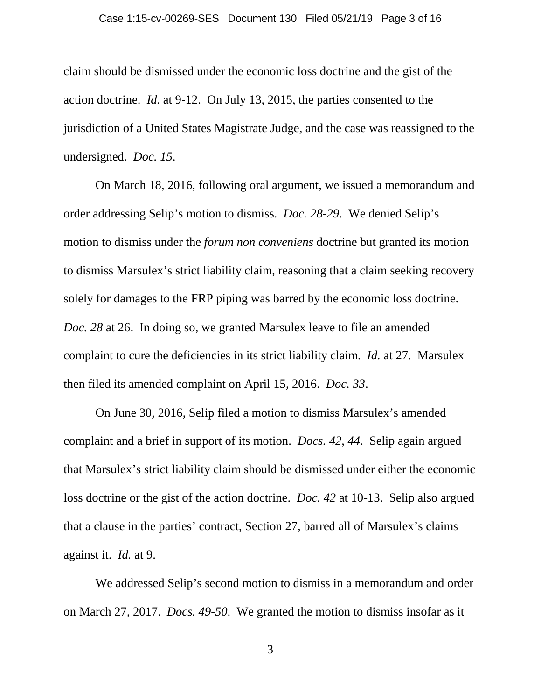claim should be dismissed under the economic loss doctrine and the gist of the action doctrine. *Id.* at 9-12. On July 13, 2015, the parties consented to the jurisdiction of a United States Magistrate Judge, and the case was reassigned to the undersigned. *Doc. 15*.

On March 18, 2016, following oral argument, we issued a memorandum and order addressing Selip's motion to dismiss. *Doc. 28-29*. We denied Selip's motion to dismiss under the *forum non conveniens* doctrine but granted its motion to dismiss Marsulex's strict liability claim, reasoning that a claim seeking recovery solely for damages to the FRP piping was barred by the economic loss doctrine. *Doc. 28* at 26. In doing so, we granted Marsulex leave to file an amended complaint to cure the deficiencies in its strict liability claim. *Id.* at 27. Marsulex then filed its amended complaint on April 15, 2016. *Doc. 33*.

On June 30, 2016, Selip filed a motion to dismiss Marsulex's amended complaint and a brief in support of its motion. *Docs. 42*, *44*. Selip again argued that Marsulex's strict liability claim should be dismissed under either the economic loss doctrine or the gist of the action doctrine. *Doc. 42* at 10-13. Selip also argued that a clause in the parties' contract, Section 27, barred all of Marsulex's claims against it. *Id.* at 9.

We addressed Selip's second motion to dismiss in a memorandum and order on March 27, 2017. *Docs. 49-50*. We granted the motion to dismiss insofar as it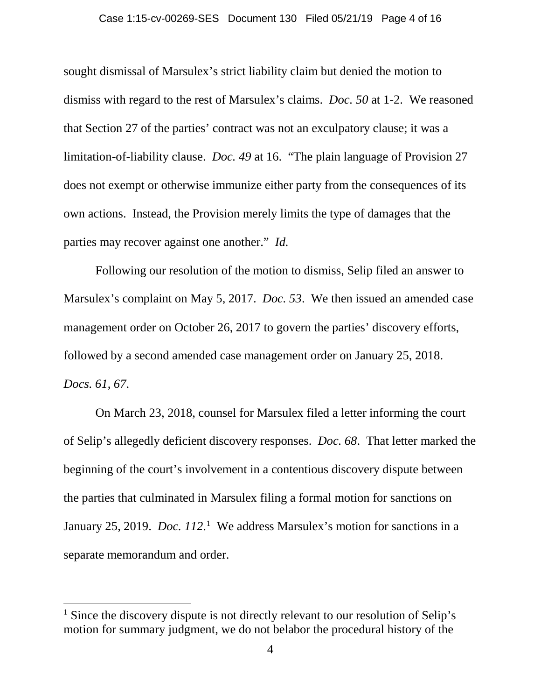#### Case 1:15-cv-00269-SES Document 130 Filed 05/21/19 Page 4 of 16

sought dismissal of Marsulex's strict liability claim but denied the motion to dismiss with regard to the rest of Marsulex's claims. *Doc. 50* at 1-2. We reasoned that Section 27 of the parties' contract was not an exculpatory clause; it was a limitation-of-liability clause. *Doc. 49* at 16. "The plain language of Provision 27 does not exempt or otherwise immunize either party from the consequences of its own actions. Instead, the Provision merely limits the type of damages that the parties may recover against one another." *Id.*

Following our resolution of the motion to dismiss, Selip filed an answer to Marsulex's complaint on May 5, 2017. *Doc. 53*. We then issued an amended case management order on October 26, 2017 to govern the parties' discovery efforts, followed by a second amended case management order on January 25, 2018. *Docs. 61*, *67*.

On March 23, 2018, counsel for Marsulex filed a letter informing the court of Selip's allegedly deficient discovery responses. *Doc. 68*. That letter marked the beginning of the court's involvement in a contentious discovery dispute between the parties that culminated in Marsulex filing a formal motion for sanctions on January 25, 20[1](#page-3-0)9. *Doc.* 112.<sup>1</sup> We address Marsulex's motion for sanctions in a separate memorandum and order.

l

<span id="page-3-0"></span><sup>&</sup>lt;sup>1</sup> Since the discovery dispute is not directly relevant to our resolution of Selip's motion for summary judgment, we do not belabor the procedural history of the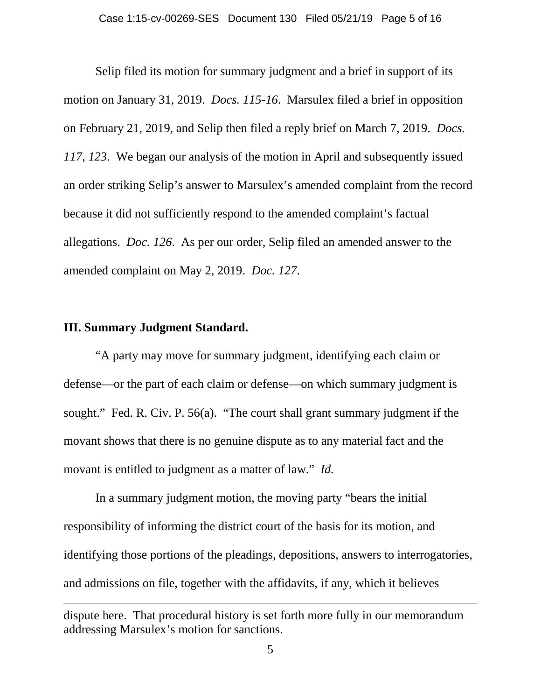Selip filed its motion for summary judgment and a brief in support of its motion on January 31, 2019. *Docs. 115-16*. Marsulex filed a brief in opposition on February 21, 2019, and Selip then filed a reply brief on March 7, 2019. *Docs. 117*, *123*. We began our analysis of the motion in April and subsequently issued an order striking Selip's answer to Marsulex's amended complaint from the record because it did not sufficiently respond to the amended complaint's factual allegations. *Doc. 126*. As per our order, Selip filed an amended answer to the amended complaint on May 2, 2019. *Doc. 127*.

### **III. Summary Judgment Standard.**

l

"A party may move for summary judgment, identifying each claim or defense—or the part of each claim or defense—on which summary judgment is sought." Fed. R. Civ. P. 56(a). "The court shall grant summary judgment if the movant shows that there is no genuine dispute as to any material fact and the movant is entitled to judgment as a matter of law." *Id.*

In a summary judgment motion, the moving party "bears the initial responsibility of informing the district court of the basis for its motion, and identifying those portions of the pleadings, depositions, answers to interrogatories, and admissions on file, together with the affidavits, if any, which it believes

dispute here. That procedural history is set forth more fully in our memorandum addressing Marsulex's motion for sanctions.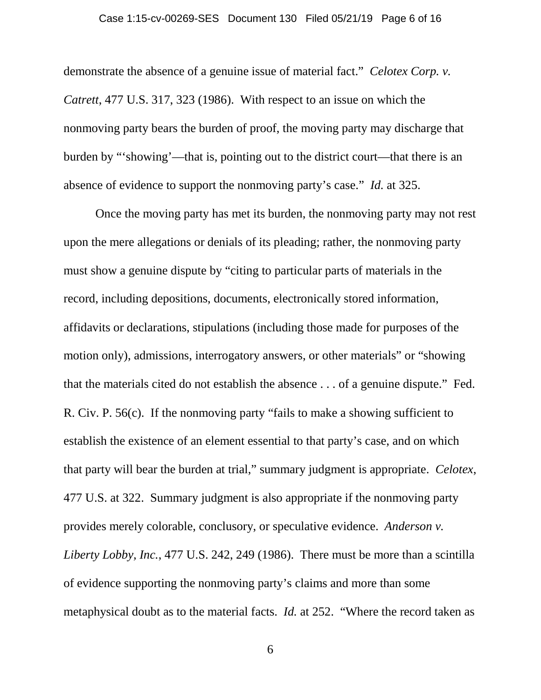demonstrate the absence of a genuine issue of material fact." *Celotex Corp. v. Catrett*, 477 U.S. 317, 323 (1986). With respect to an issue on which the nonmoving party bears the burden of proof, the moving party may discharge that burden by "'showing'—that is, pointing out to the district court—that there is an absence of evidence to support the nonmoving party's case." *Id.* at 325.

Once the moving party has met its burden, the nonmoving party may not rest upon the mere allegations or denials of its pleading; rather, the nonmoving party must show a genuine dispute by "citing to particular parts of materials in the record, including depositions, documents, electronically stored information, affidavits or declarations, stipulations (including those made for purposes of the motion only), admissions, interrogatory answers, or other materials" or "showing that the materials cited do not establish the absence . . . of a genuine dispute." Fed. R. Civ. P. 56(c). If the nonmoving party "fails to make a showing sufficient to establish the existence of an element essential to that party's case, and on which that party will bear the burden at trial," summary judgment is appropriate. *Celotex*, 477 U.S. at 322. Summary judgment is also appropriate if the nonmoving party provides merely colorable, conclusory, or speculative evidence. *Anderson v. Liberty Lobby, Inc.*, 477 U.S. 242, 249 (1986). There must be more than a scintilla of evidence supporting the nonmoving party's claims and more than some metaphysical doubt as to the material facts. *Id.* at 252. "Where the record taken as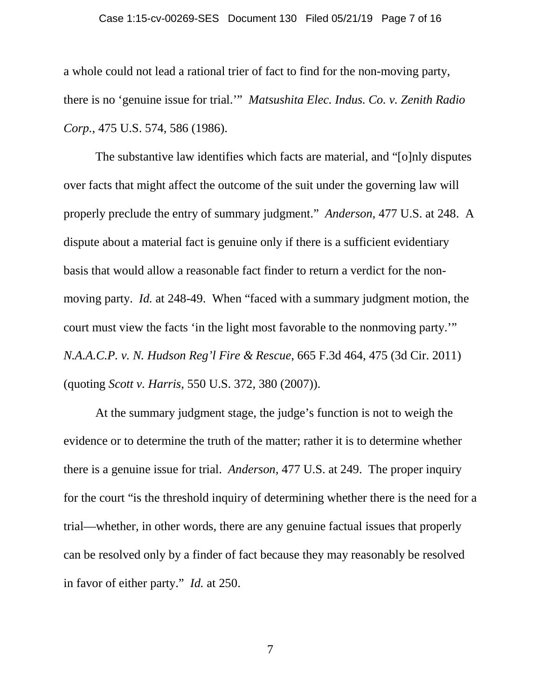#### Case 1:15-cv-00269-SES Document 130 Filed 05/21/19 Page 7 of 16

a whole could not lead a rational trier of fact to find for the non-moving party, there is no 'genuine issue for trial.'" *Matsushita Elec. Indus. Co. v. Zenith Radio Corp.*, 475 U.S. 574, 586 (1986).

The substantive law identifies which facts are material, and "[o]nly disputes over facts that might affect the outcome of the suit under the governing law will properly preclude the entry of summary judgment." *Anderson*, 477 U.S. at 248. A dispute about a material fact is genuine only if there is a sufficient evidentiary basis that would allow a reasonable fact finder to return a verdict for the nonmoving party. *Id.* at 248-49. When "faced with a summary judgment motion, the court must view the facts 'in the light most favorable to the nonmoving party.'" *N.A.A.C.P. v. N. Hudson Reg'l Fire & Rescue*, 665 F.3d 464, 475 (3d Cir. 2011) (quoting *Scott v. Harris*, 550 U.S. 372, 380 (2007)).

At the summary judgment stage, the judge's function is not to weigh the evidence or to determine the truth of the matter; rather it is to determine whether there is a genuine issue for trial. *Anderson,* 477 U.S. at 249. The proper inquiry for the court "is the threshold inquiry of determining whether there is the need for a trial—whether, in other words, there are any genuine factual issues that properly can be resolved only by a finder of fact because they may reasonably be resolved in favor of either party." *Id.* at 250.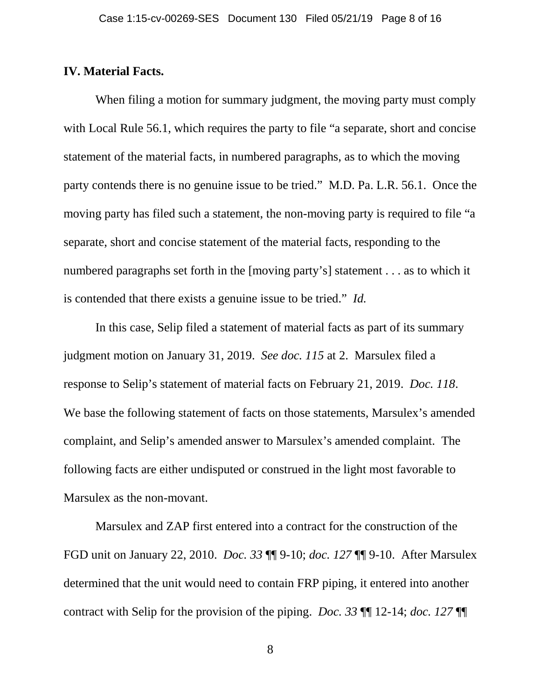#### **IV. Material Facts.**

When filing a motion for summary judgment, the moving party must comply with Local Rule 56.1, which requires the party to file "a separate, short and concise statement of the material facts, in numbered paragraphs, as to which the moving party contends there is no genuine issue to be tried." M.D. Pa. L.R. 56.1. Once the moving party has filed such a statement, the non-moving party is required to file "a separate, short and concise statement of the material facts, responding to the numbered paragraphs set forth in the [moving party's] statement . . . as to which it is contended that there exists a genuine issue to be tried." *Id.*

In this case, Selip filed a statement of material facts as part of its summary judgment motion on January 31, 2019. *See doc. 115* at 2. Marsulex filed a response to Selip's statement of material facts on February 21, 2019. *Doc. 118*. We base the following statement of facts on those statements, Marsulex's amended complaint, and Selip's amended answer to Marsulex's amended complaint. The following facts are either undisputed or construed in the light most favorable to Marsulex as the non-movant.

Marsulex and ZAP first entered into a contract for the construction of the FGD unit on January 22, 2010. *Doc. 33* ¶¶ 9-10; *doc. 127* ¶¶ 9-10. After Marsulex determined that the unit would need to contain FRP piping, it entered into another contract with Selip for the provision of the piping. *Doc. 33* ¶¶ 12-14; *doc. 127* ¶¶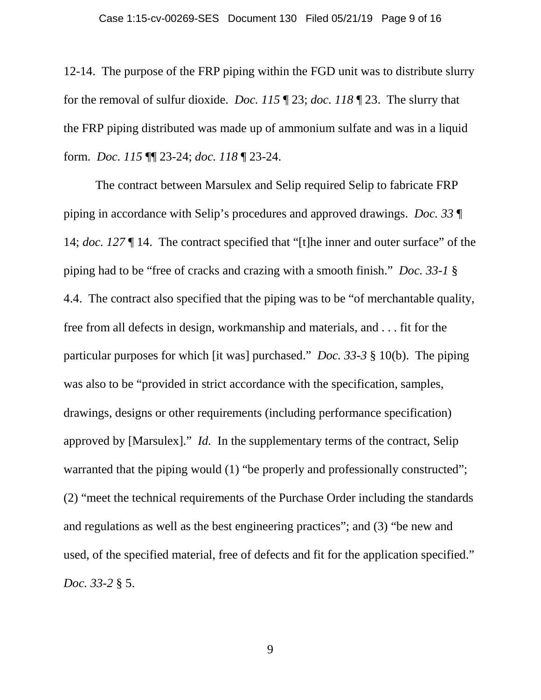12-14. The purpose of the FRP piping within the FGD unit was to distribute slurry for the removal of sulfur dioxide. *Doc. 115* ¶ 23; *doc. 118* ¶ 23. The slurry that the FRP piping distributed was made up of ammonium sulfate and was in a liquid form. *Doc. 115* ¶¶ 23-24; *doc. 118* ¶ 23-24.

The contract between Marsulex and Selip required Selip to fabricate FRP piping in accordance with Selip's procedures and approved drawings. *Doc. 33* ¶ 14; *doc. 127* ¶ 14. The contract specified that "[t]he inner and outer surface" of the piping had to be "free of cracks and crazing with a smooth finish." *Doc. 33-1* § 4.4. The contract also specified that the piping was to be "of merchantable quality, free from all defects in design, workmanship and materials, and . . . fit for the particular purposes for which [it was] purchased." *Doc. 33-3* § 10(b). The piping was also to be "provided in strict accordance with the specification, samples, drawings, designs or other requirements (including performance specification) approved by [Marsulex]." *Id.* In the supplementary terms of the contract, Selip warranted that the piping would (1) "be properly and professionally constructed"; (2) "meet the technical requirements of the Purchase Order including the standards and regulations as well as the best engineering practices"; and (3) "be new and used, of the specified material, free of defects and fit for the application specified." *Doc. 33-2* § 5.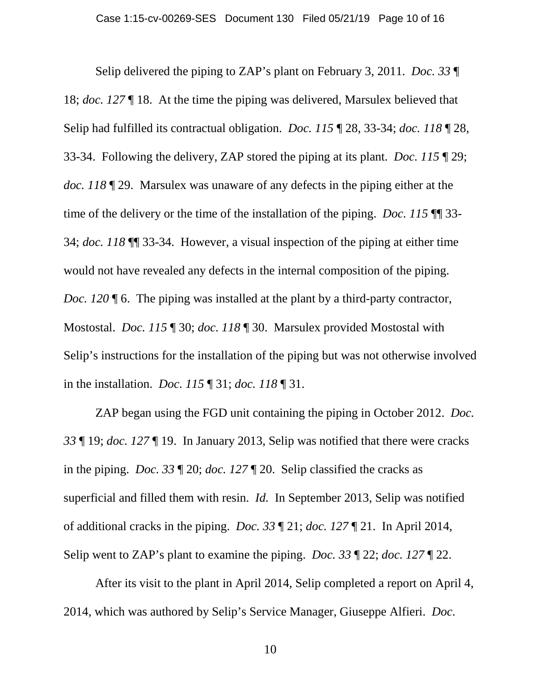Selip delivered the piping to ZAP's plant on February 3, 2011. *Doc. 33* ¶ 18; *doc. 127* ¶ 18. At the time the piping was delivered, Marsulex believed that Selip had fulfilled its contractual obligation. *Doc. 115* ¶ 28, 33-34; *doc. 118* ¶ 28, 33-34. Following the delivery, ZAP stored the piping at its plant. *Doc. 115* ¶ 29; *doc. 118* ¶ 29. Marsulex was unaware of any defects in the piping either at the time of the delivery or the time of the installation of the piping. *Doc. 115* ¶¶ 33- 34; *doc. 118* ¶¶ 33-34. However, a visual inspection of the piping at either time would not have revealed any defects in the internal composition of the piping. *Doc.* 120  $\degree$  6. The piping was installed at the plant by a third-party contractor, Mostostal. *Doc. 115* ¶ 30; *doc. 118* ¶ 30. Marsulex provided Mostostal with Selip's instructions for the installation of the piping but was not otherwise involved in the installation. *Doc. 115* ¶ 31; *doc. 118* ¶ 31.

ZAP began using the FGD unit containing the piping in October 2012. *Doc. 33* ¶ 19; *doc. 127* ¶ 19. In January 2013, Selip was notified that there were cracks in the piping. *Doc. 33* ¶ 20; *doc. 127* ¶ 20. Selip classified the cracks as superficial and filled them with resin. *Id.* In September 2013, Selip was notified of additional cracks in the piping. *Doc. 33* ¶ 21; *doc. 127* ¶ 21. In April 2014, Selip went to ZAP's plant to examine the piping. *Doc. 33* ¶ 22; *doc. 127* ¶ 22.

After its visit to the plant in April 2014, Selip completed a report on April 4, 2014, which was authored by Selip's Service Manager, Giuseppe Alfieri. *Doc.*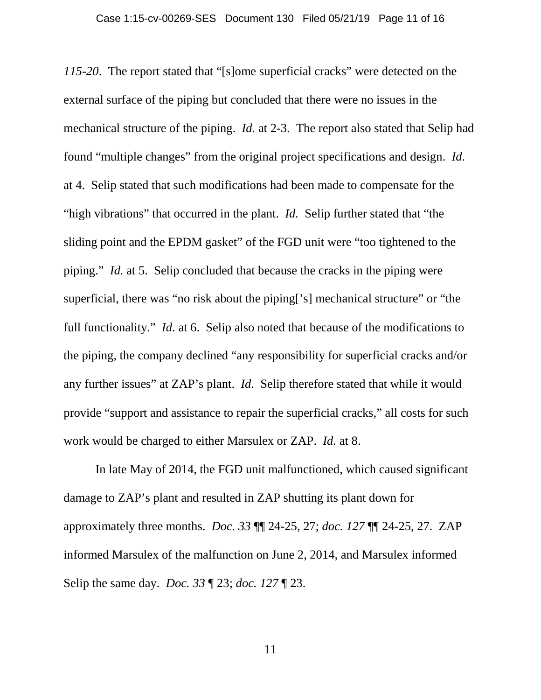*115-20*. The report stated that "[s]ome superficial cracks" were detected on the external surface of the piping but concluded that there were no issues in the mechanical structure of the piping. *Id.* at 2-3. The report also stated that Selip had found "multiple changes" from the original project specifications and design. *Id.* at 4. Selip stated that such modifications had been made to compensate for the "high vibrations" that occurred in the plant. *Id.* Selip further stated that "the sliding point and the EPDM gasket" of the FGD unit were "too tightened to the piping." *Id.* at 5. Selip concluded that because the cracks in the piping were superficial, there was "no risk about the piping['s] mechanical structure" or "the full functionality." *Id.* at 6. Selip also noted that because of the modifications to the piping, the company declined "any responsibility for superficial cracks and/or any further issues" at ZAP's plant. *Id.* Selip therefore stated that while it would provide "support and assistance to repair the superficial cracks," all costs for such work would be charged to either Marsulex or ZAP. *Id.* at 8.

In late May of 2014, the FGD unit malfunctioned, which caused significant damage to ZAP's plant and resulted in ZAP shutting its plant down for approximately three months. *Doc. 33* ¶¶ 24-25, 27; *doc. 127* ¶¶ 24-25, 27. ZAP informed Marsulex of the malfunction on June 2, 2014, and Marsulex informed Selip the same day. *Doc. 33* ¶ 23; *doc. 127* ¶ 23.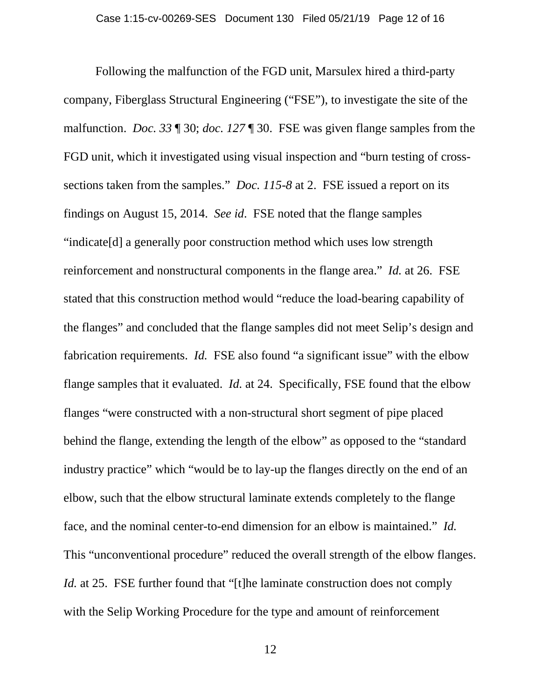Following the malfunction of the FGD unit, Marsulex hired a third-party company, Fiberglass Structural Engineering ("FSE"), to investigate the site of the malfunction. *Doc. 33* ¶ 30; *doc. 127* ¶ 30. FSE was given flange samples from the FGD unit, which it investigated using visual inspection and "burn testing of crosssections taken from the samples." *Doc. 115-8* at 2. FSE issued a report on its findings on August 15, 2014. *See id*. FSE noted that the flange samples "indicate[d] a generally poor construction method which uses low strength reinforcement and nonstructural components in the flange area." *Id.* at 26. FSE stated that this construction method would "reduce the load-bearing capability of the flanges" and concluded that the flange samples did not meet Selip's design and fabrication requirements. *Id.* FSE also found "a significant issue" with the elbow flange samples that it evaluated. *Id.* at 24. Specifically, FSE found that the elbow flanges "were constructed with a non-structural short segment of pipe placed behind the flange, extending the length of the elbow" as opposed to the "standard industry practice" which "would be to lay-up the flanges directly on the end of an elbow, such that the elbow structural laminate extends completely to the flange face, and the nominal center-to-end dimension for an elbow is maintained." *Id.* This "unconventional procedure" reduced the overall strength of the elbow flanges. *Id.* at 25. FSE further found that "[t]he laminate construction does not comply with the Selip Working Procedure for the type and amount of reinforcement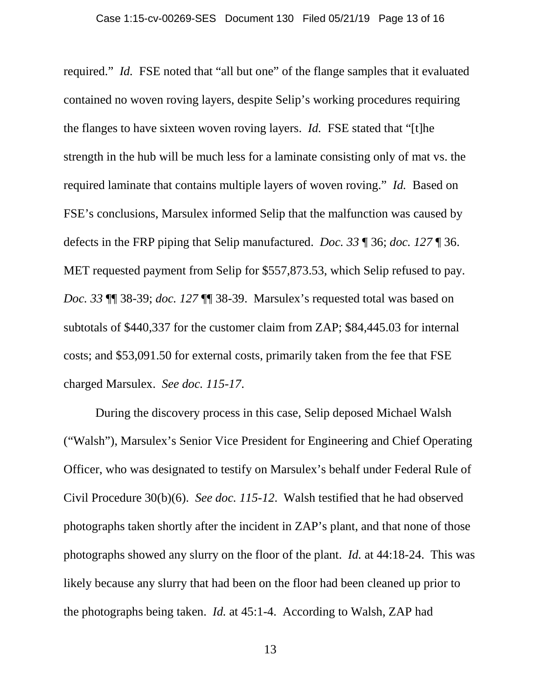required." *Id.* FSE noted that "all but one" of the flange samples that it evaluated contained no woven roving layers, despite Selip's working procedures requiring the flanges to have sixteen woven roving layers. *Id.* FSE stated that "[t]he strength in the hub will be much less for a laminate consisting only of mat vs. the required laminate that contains multiple layers of woven roving." *Id.* Based on FSE's conclusions, Marsulex informed Selip that the malfunction was caused by defects in the FRP piping that Selip manufactured. *Doc. 33* ¶ 36; *doc. 127* ¶ 36. MET requested payment from Selip for \$557,873.53, which Selip refused to pay. *Doc. 33* ¶¶ 38-39; *doc. 127* ¶¶ 38-39. Marsulex's requested total was based on subtotals of \$440,337 for the customer claim from ZAP; \$84,445.03 for internal costs; and \$53,091.50 for external costs, primarily taken from the fee that FSE charged Marsulex. *See doc. 115-17*.

During the discovery process in this case, Selip deposed Michael Walsh ("Walsh"), Marsulex's Senior Vice President for Engineering and Chief Operating Officer, who was designated to testify on Marsulex's behalf under Federal Rule of Civil Procedure 30(b)(6). *See doc. 115-12*. Walsh testified that he had observed photographs taken shortly after the incident in ZAP's plant, and that none of those photographs showed any slurry on the floor of the plant. *Id.* at 44:18-24. This was likely because any slurry that had been on the floor had been cleaned up prior to the photographs being taken. *Id.* at 45:1-4. According to Walsh, ZAP had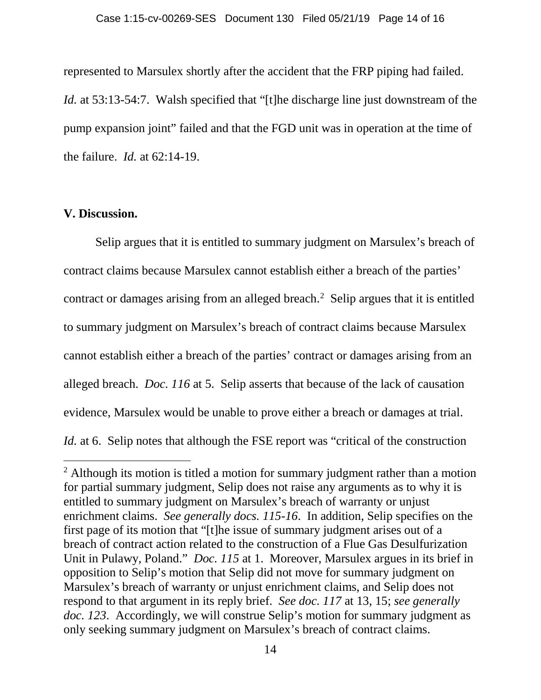represented to Marsulex shortly after the accident that the FRP piping had failed. *Id.* at 53:13-54:7. Walsh specified that "[t]he discharge line just downstream of the pump expansion joint" failed and that the FGD unit was in operation at the time of the failure. *Id.* at 62:14-19.

### **V. Discussion.**

 $\overline{\phantom{a}}$ 

Selip argues that it is entitled to summary judgment on Marsulex's breach of contract claims because Marsulex cannot establish either a breach of the parties' contract or damages arising from an alleged breach.<sup>[2](#page-13-0)</sup> Selip argues that it is entitled to summary judgment on Marsulex's breach of contract claims because Marsulex cannot establish either a breach of the parties' contract or damages arising from an alleged breach. *Doc. 116* at 5. Selip asserts that because of the lack of causation evidence, Marsulex would be unable to prove either a breach or damages at trial. *Id.* at 6. Selip notes that although the FSE report was "critical of the construction

<span id="page-13-0"></span><sup>&</sup>lt;sup>2</sup> Although its motion is titled a motion for summary judgment rather than a motion for partial summary judgment, Selip does not raise any arguments as to why it is entitled to summary judgment on Marsulex's breach of warranty or unjust enrichment claims. *See generally docs. 115-16*. In addition, Selip specifies on the first page of its motion that "[t]he issue of summary judgment arises out of a breach of contract action related to the construction of a Flue Gas Desulfurization Unit in Pulawy, Poland." *Doc. 115* at 1. Moreover, Marsulex argues in its brief in opposition to Selip's motion that Selip did not move for summary judgment on Marsulex's breach of warranty or unjust enrichment claims, and Selip does not respond to that argument in its reply brief. *See doc. 117* at 13, 15; *see generally doc. 123*. Accordingly, we will construe Selip's motion for summary judgment as only seeking summary judgment on Marsulex's breach of contract claims.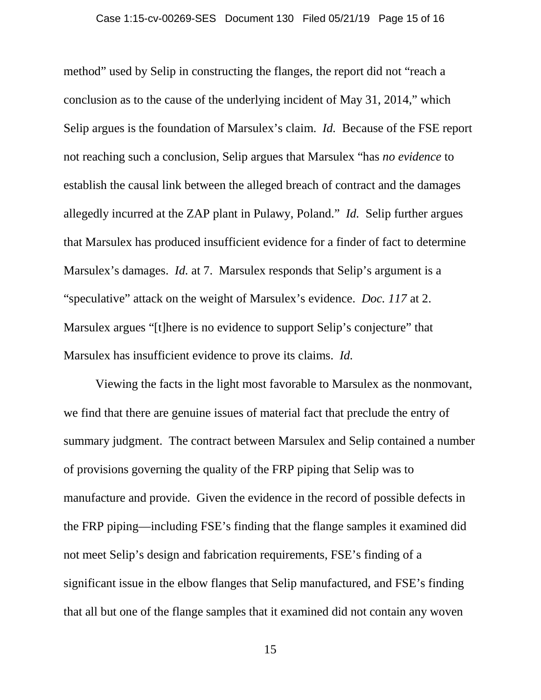method" used by Selip in constructing the flanges, the report did not "reach a conclusion as to the cause of the underlying incident of May 31, 2014," which Selip argues is the foundation of Marsulex's claim. *Id.* Because of the FSE report not reaching such a conclusion, Selip argues that Marsulex "has *no evidence* to establish the causal link between the alleged breach of contract and the damages allegedly incurred at the ZAP plant in Pulawy, Poland." *Id.* Selip further argues that Marsulex has produced insufficient evidence for a finder of fact to determine Marsulex's damages. *Id.* at 7. Marsulex responds that Selip's argument is a "speculative" attack on the weight of Marsulex's evidence. *Doc. 117* at 2. Marsulex argues "[t]here is no evidence to support Selip's conjecture" that Marsulex has insufficient evidence to prove its claims. *Id.*

Viewing the facts in the light most favorable to Marsulex as the nonmovant, we find that there are genuine issues of material fact that preclude the entry of summary judgment. The contract between Marsulex and Selip contained a number of provisions governing the quality of the FRP piping that Selip was to manufacture and provide. Given the evidence in the record of possible defects in the FRP piping—including FSE's finding that the flange samples it examined did not meet Selip's design and fabrication requirements, FSE's finding of a significant issue in the elbow flanges that Selip manufactured, and FSE's finding that all but one of the flange samples that it examined did not contain any woven